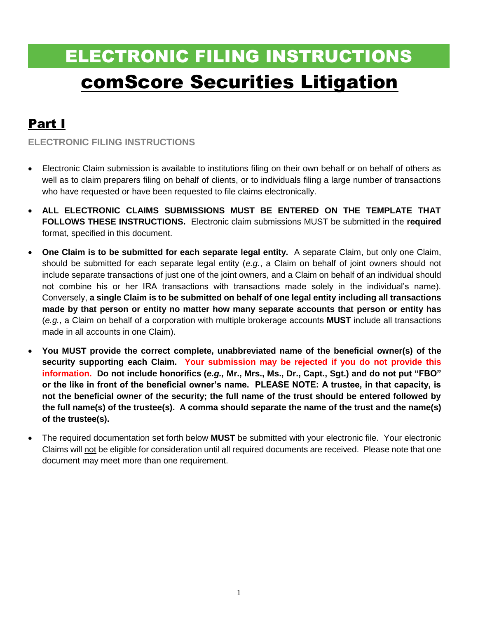# ELECTRONIC FILING INSTRUCTIONS comScore Securities Litigation

# Part I

**ELECTRONIC FILING INSTRUCTIONS**

- Electronic Claim submission is available to institutions filing on their own behalf or on behalf of others as well as to claim preparers filing on behalf of clients, or to individuals filing a large number of transactions who have requested or have been requested to file claims electronically.
- **ALL ELECTRONIC CLAIMS SUBMISSIONS MUST BE ENTERED ON THE TEMPLATE THAT FOLLOWS THESE INSTRUCTIONS.** Electronic claim submissions MUST be submitted in the **required** format, specified in this document.
- **One Claim is to be submitted for each separate legal entity.** A separate Claim, but only one Claim, should be submitted for each separate legal entity (*e.g.*, a Claim on behalf of joint owners should not include separate transactions of just one of the joint owners, and a Claim on behalf of an individual should not combine his or her IRA transactions with transactions made solely in the individual's name). Conversely, **a single Claim is to be submitted on behalf of one legal entity including all transactions made by that person or entity no matter how many separate accounts that person or entity has**  (*e.g.*, a Claim on behalf of a corporation with multiple brokerage accounts **MUST** include all transactions made in all accounts in one Claim).
- **You MUST provide the correct complete, unabbreviated name of the beneficial owner(s) of the security supporting each Claim. Your submission may be rejected if you do not provide this information. Do not include honorifics (***e.g.,* **Mr., Mrs., Ms., Dr., Capt., Sgt.) and do not put "FBO" or the like in front of the beneficial owner's name. PLEASE NOTE: A trustee, in that capacity, is not the beneficial owner of the security; the full name of the trust should be entered followed by the full name(s) of the trustee(s). A comma should separate the name of the trust and the name(s) of the trustee(s).**
- The required documentation set forth below **MUST** be submitted with your electronic file. Your electronic Claims will not be eligible for consideration until all required documents are received. Please note that one document may meet more than one requirement.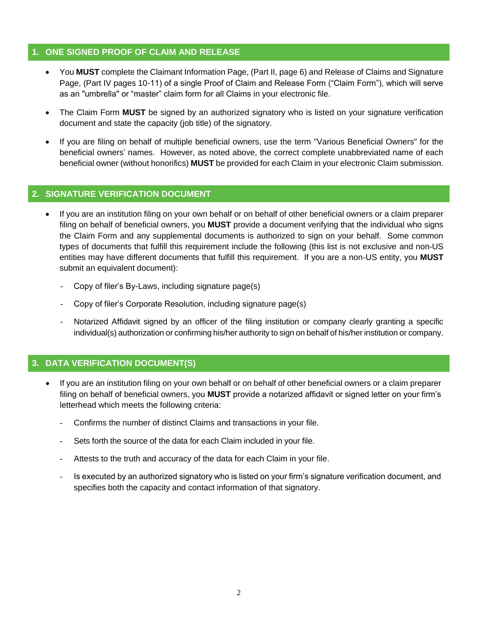#### **1. ONE SIGNED PROOF OF CLAIM AND RELEASE**

- You **MUST** complete the Claimant Information Page, (Part II, page 6) and Release of Claims and Signature Page, (Part IV pages 10-11) of a single Proof of Claim and Release Form ("Claim Form"), which will serve as an "umbrella" or "master" claim form for all Claims in your electronic file.
- The Claim Form **MUST** be signed by an authorized signatory who is listed on your signature verification document and state the capacity (job title) of the signatory.
- If you are filing on behalf of multiple beneficial owners, use the term "Various Beneficial Owners" for the beneficial owners' names. However, as noted above, the correct complete unabbreviated name of each beneficial owner (without honorifics) **MUST** be provided for each Claim in your electronic Claim submission.

#### **2. SIGNATURE VERIFICATION DOCUMENT**

- If you are an institution filing on your own behalf or on behalf of other beneficial owners or a claim preparer filing on behalf of beneficial owners, you **MUST** provide a document verifying that the individual who signs the Claim Form and any supplemental documents is authorized to sign on your behalf. Some common types of documents that fulfill this requirement include the following (this list is not exclusive and non-US entities may have different documents that fulfill this requirement. If you are a non-US entity, you **MUST** submit an equivalent document):
	- Copy of filer's By-Laws, including signature page(s)
	- Copy of filer's Corporate Resolution, including signature page(s)
	- Notarized Affidavit signed by an officer of the filing institution or company clearly granting a specific individual(s) authorization or confirming his/her authority to sign on behalf of his/her institution or company.

### **3. DATA VERIFICATION DOCUMENT(S)**

- If you are an institution filing on your own behalf or on behalf of other beneficial owners or a claim preparer filing on behalf of beneficial owners, you **MUST** provide a notarized affidavit or signed letter on your firm's letterhead which meets the following criteria:
	- Confirms the number of distinct Claims and transactions in your file.
	- Sets forth the source of the data for each Claim included in your file.
	- Attests to the truth and accuracy of the data for each Claim in your file.
	- Is executed by an authorized signatory who is listed on your firm's signature verification document, and specifies both the capacity and contact information of that signatory.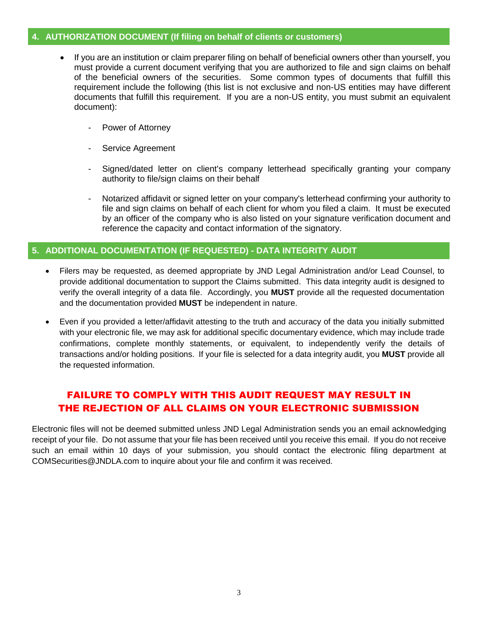#### **4. AUTHORIZATION DOCUMENT (If filing on behalf of clients or customers)**

- If you are an institution or claim preparer filing on behalf of beneficial owners other than yourself, you must provide a current document verifying that you are authorized to file and sign claims on behalf of the beneficial owners of the securities. Some common types of documents that fulfill this requirement include the following (this list is not exclusive and non-US entities may have different documents that fulfill this requirement. If you are a non-US entity, you must submit an equivalent document):
	- Power of Attorney
	- Service Agreement
	- Signed/dated letter on client's company letterhead specifically granting your company authority to file/sign claims on their behalf
	- Notarized affidavit or signed letter on your company's letterhead confirming your authority to file and sign claims on behalf of each client for whom you filed a claim. It must be executed by an officer of the company who is also listed on your signature verification document and reference the capacity and contact information of the signatory.

#### **5. ADDITIONAL DOCUMENTATION (IF REQUESTED) - DATA INTEGRITY AUDIT**

- Filers may be requested, as deemed appropriate by JND Legal Administration and/or Lead Counsel, to provide additional documentation to support the Claims submitted. This data integrity audit is designed to verify the overall integrity of a data file. Accordingly, you **MUST** provide all the requested documentation and the documentation provided **MUST** be independent in nature.
- Even if you provided a letter/affidavit attesting to the truth and accuracy of the data you initially submitted with your electronic file, we may ask for additional specific documentary evidence, which may include trade confirmations, complete monthly statements, or equivalent, to independently verify the details of transactions and/or holding positions. If your file is selected for a data integrity audit, you **MUST** provide all the requested information.

### FAILURE TO COMPLY WITH THIS AUDIT REQUEST MAY RESULT IN THE REJECTION OF ALL CLAIMS ON YOUR ELECTRONIC SUBMISSION

Electronic files will not be deemed submitted unless JND Legal Administration sends you an email acknowledging receipt of your file. Do not assume that your file has been received until you receive this email. If you do not receive such an email within 10 days of your submission, you should contact the electronic filing department at COMSecurities@JNDLA.com to inquire about your file and confirm it was received.